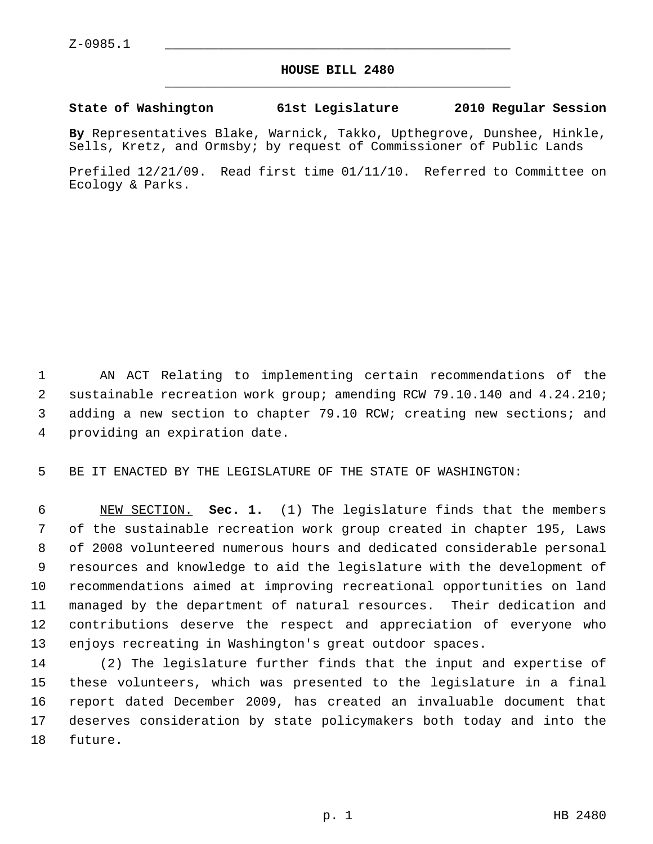## **HOUSE BILL 2480** \_\_\_\_\_\_\_\_\_\_\_\_\_\_\_\_\_\_\_\_\_\_\_\_\_\_\_\_\_\_\_\_\_\_\_\_\_\_\_\_\_\_\_\_\_

## **State of Washington 61st Legislature 2010 Regular Session**

**By** Representatives Blake, Warnick, Takko, Upthegrove, Dunshee, Hinkle, Sells, Kretz, and Ormsby; by request of Commissioner of Public Lands

Prefiled 12/21/09. Read first time 01/11/10. Referred to Committee on Ecology & Parks.

 1 AN ACT Relating to implementing certain recommendations of the 2 sustainable recreation work group; amending RCW 79.10.140 and 4.24.210; 3 adding a new section to chapter 79.10 RCW; creating new sections; and 4 providing an expiration date.

5 BE IT ENACTED BY THE LEGISLATURE OF THE STATE OF WASHINGTON:

 6 NEW SECTION. **Sec. 1.** (1) The legislature finds that the members 7 of the sustainable recreation work group created in chapter 195, Laws 8 of 2008 volunteered numerous hours and dedicated considerable personal 9 resources and knowledge to aid the legislature with the development of 10 recommendations aimed at improving recreational opportunities on land 11 managed by the department of natural resources. Their dedication and 12 contributions deserve the respect and appreciation of everyone who 13 enjoys recreating in Washington's great outdoor spaces.

14 (2) The legislature further finds that the input and expertise of 15 these volunteers, which was presented to the legislature in a final 16 report dated December 2009, has created an invaluable document that 17 deserves consideration by state policymakers both today and into the 18 future.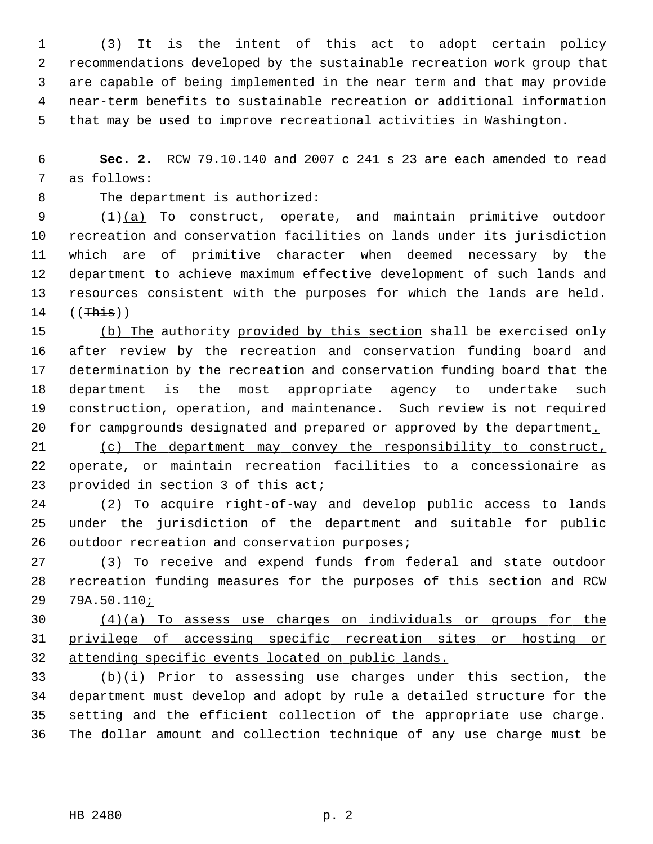1 (3) It is the intent of this act to adopt certain policy 2 recommendations developed by the sustainable recreation work group that 3 are capable of being implemented in the near term and that may provide 4 near-term benefits to sustainable recreation or additional information 5 that may be used to improve recreational activities in Washington.

 6 **Sec. 2.** RCW 79.10.140 and 2007 c 241 s 23 are each amended to read 7 as follows:

8 The department is authorized:

 9 (1)(a) To construct, operate, and maintain primitive outdoor 10 recreation and conservation facilities on lands under its jurisdiction 11 which are of primitive character when deemed necessary by the 12 department to achieve maximum effective development of such lands and 13 resources consistent with the purposes for which the lands are held.  $14$  ((This))

15 (b) The authority provided by this section shall be exercised only 16 after review by the recreation and conservation funding board and 17 determination by the recreation and conservation funding board that the 18 department is the most appropriate agency to undertake such 19 construction, operation, and maintenance. Such review is not required 20 for campgrounds designated and prepared or approved by the department.

21 (c) The department may convey the responsibility to construct, 22 operate, or maintain recreation facilities to a concessionaire as 23 provided in section 3 of this act;

24 (2) To acquire right-of-way and develop public access to lands 25 under the jurisdiction of the department and suitable for public 26 outdoor recreation and conservation purposes;

27 (3) To receive and expend funds from federal and state outdoor 28 recreation funding measures for the purposes of this section and RCW 29 79A.50.110;

30 (4)(a) To assess use charges on individuals or groups for the 31 privilege of accessing specific recreation sites or hosting or 32 attending specific events located on public lands.

 (b)(i) Prior to assessing use charges under this section, the department must develop and adopt by rule a detailed structure for the setting and the efficient collection of the appropriate use charge. The dollar amount and collection technique of any use charge must be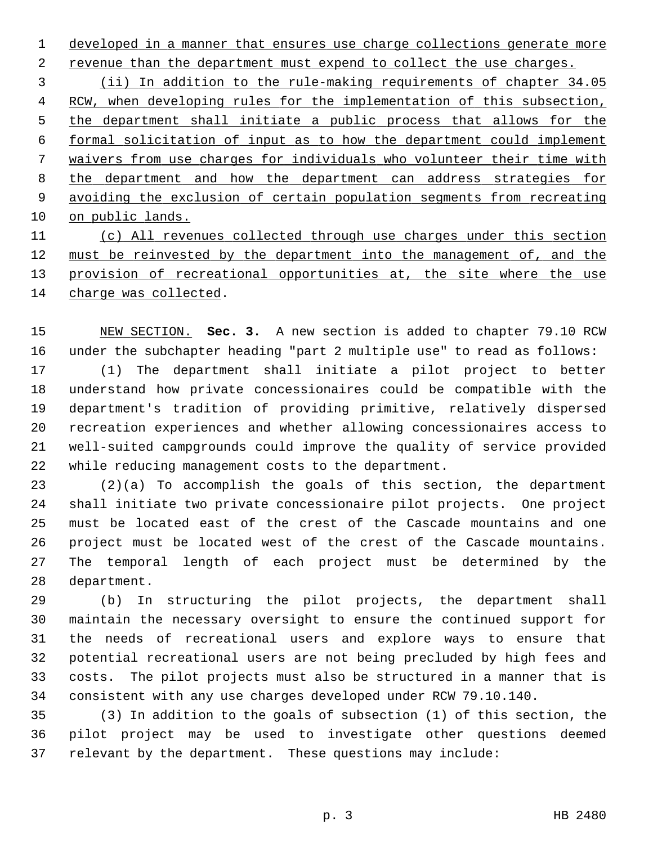1 developed in a manner that ensures use charge collections generate more

2 revenue than the department must expend to collect the use charges.

 (ii) In addition to the rule-making requirements of chapter 34.05 RCW, when developing rules for the implementation of this subsection, the department shall initiate a public process that allows for the formal solicitation of input as to how the department could implement waivers from use charges for individuals who volunteer their time with the department and how the department can address strategies for avoiding the exclusion of certain population segments from recreating on public lands.

 (c) All revenues collected through use charges under this section must be reinvested by the department into the management of, and the provision of recreational opportunities at, the site where the use charge was collected.

15 NEW SECTION. **Sec. 3.** A new section is added to chapter 79.10 RCW 16 under the subchapter heading "part 2 multiple use" to read as follows: 17 (1) The department shall initiate a pilot project to better 18 understand how private concessionaires could be compatible with the 19 department's tradition of providing primitive, relatively dispersed 20 recreation experiences and whether allowing concessionaires access to 21 well-suited campgrounds could improve the quality of service provided 22 while reducing management costs to the department.

23 (2)(a) To accomplish the goals of this section, the department 24 shall initiate two private concessionaire pilot projects. One project 25 must be located east of the crest of the Cascade mountains and one 26 project must be located west of the crest of the Cascade mountains. 27 The temporal length of each project must be determined by the 28 department.

29 (b) In structuring the pilot projects, the department shall 30 maintain the necessary oversight to ensure the continued support for 31 the needs of recreational users and explore ways to ensure that 32 potential recreational users are not being precluded by high fees and 33 costs. The pilot projects must also be structured in a manner that is 34 consistent with any use charges developed under RCW 79.10.140.

35 (3) In addition to the goals of subsection (1) of this section, the 36 pilot project may be used to investigate other questions deemed 37 relevant by the department. These questions may include: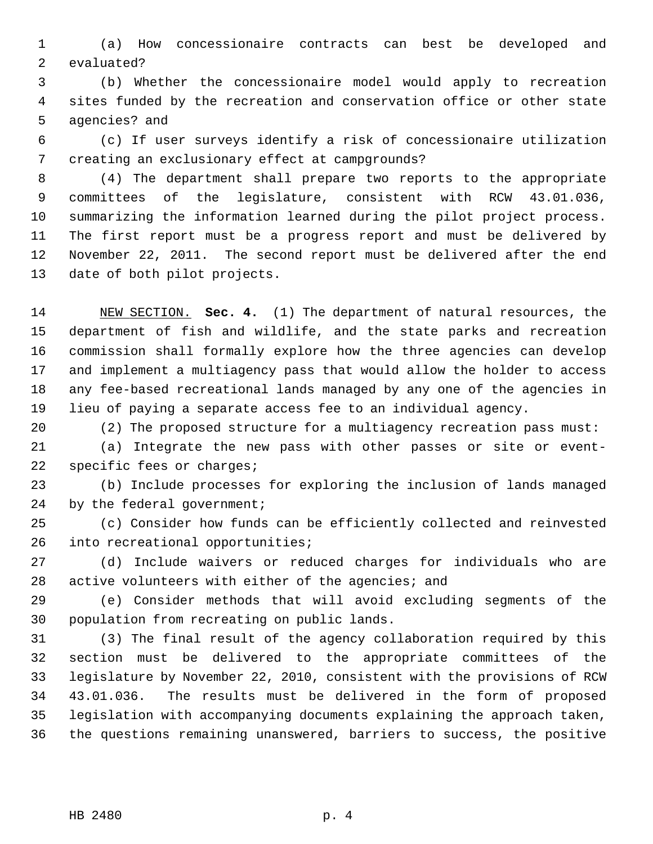1 (a) How concessionaire contracts can best be developed and 2 evaluated?

 3 (b) Whether the concessionaire model would apply to recreation 4 sites funded by the recreation and conservation office or other state 5 agencies? and

 6 (c) If user surveys identify a risk of concessionaire utilization 7 creating an exclusionary effect at campgrounds?

 8 (4) The department shall prepare two reports to the appropriate 9 committees of the legislature, consistent with RCW 43.01.036, 10 summarizing the information learned during the pilot project process. 11 The first report must be a progress report and must be delivered by 12 November 22, 2011. The second report must be delivered after the end 13 date of both pilot projects.

14 NEW SECTION. **Sec. 4.** (1) The department of natural resources, the 15 department of fish and wildlife, and the state parks and recreation 16 commission shall formally explore how the three agencies can develop 17 and implement a multiagency pass that would allow the holder to access 18 any fee-based recreational lands managed by any one of the agencies in 19 lieu of paying a separate access fee to an individual agency.

20 (2) The proposed structure for a multiagency recreation pass must:

21 (a) Integrate the new pass with other passes or site or event-22 specific fees or charges;

23 (b) Include processes for exploring the inclusion of lands managed 24 by the federal government;

25 (c) Consider how funds can be efficiently collected and reinvested 26 into recreational opportunities;

27 (d) Include waivers or reduced charges for individuals who are 28 active volunteers with either of the agencies; and

29 (e) Consider methods that will avoid excluding segments of the 30 population from recreating on public lands.

31 (3) The final result of the agency collaboration required by this 32 section must be delivered to the appropriate committees of the 33 legislature by November 22, 2010, consistent with the provisions of RCW 34 43.01.036. The results must be delivered in the form of proposed 35 legislation with accompanying documents explaining the approach taken, 36 the questions remaining unanswered, barriers to success, the positive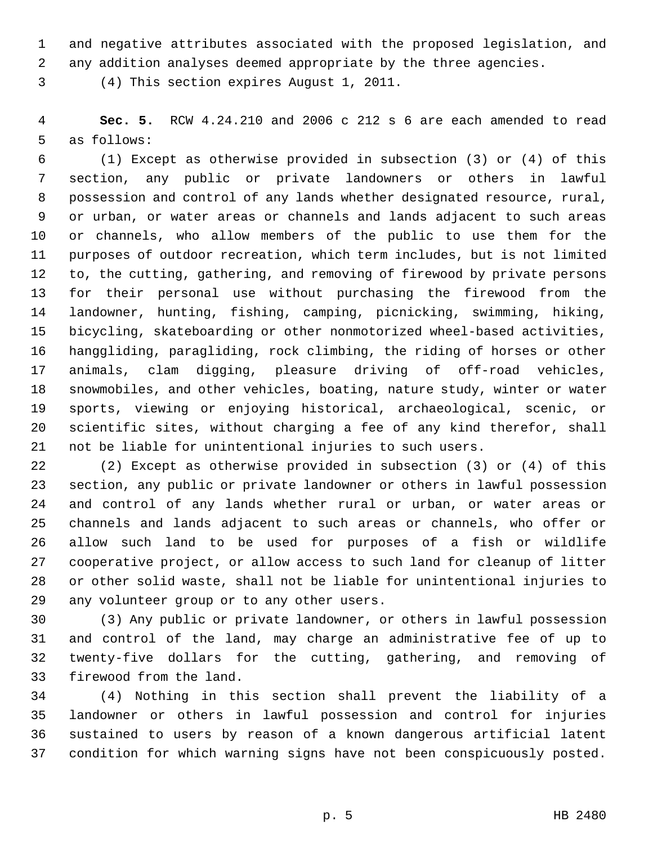1 and negative attributes associated with the proposed legislation, and

2 any addition analyses deemed appropriate by the three agencies.

3 (4) This section expires August 1, 2011.

 4 **Sec. 5.** RCW 4.24.210 and 2006 c 212 s 6 are each amended to read 5 as follows:

 6 (1) Except as otherwise provided in subsection (3) or (4) of this 7 section, any public or private landowners or others in lawful 8 possession and control of any lands whether designated resource, rural, 9 or urban, or water areas or channels and lands adjacent to such areas 10 or channels, who allow members of the public to use them for the 11 purposes of outdoor recreation, which term includes, but is not limited 12 to, the cutting, gathering, and removing of firewood by private persons 13 for their personal use without purchasing the firewood from the 14 landowner, hunting, fishing, camping, picnicking, swimming, hiking, 15 bicycling, skateboarding or other nonmotorized wheel-based activities, 16 hanggliding, paragliding, rock climbing, the riding of horses or other 17 animals, clam digging, pleasure driving of off-road vehicles, 18 snowmobiles, and other vehicles, boating, nature study, winter or water 19 sports, viewing or enjoying historical, archaeological, scenic, or 20 scientific sites, without charging a fee of any kind therefor, shall 21 not be liable for unintentional injuries to such users.

22 (2) Except as otherwise provided in subsection (3) or (4) of this 23 section, any public or private landowner or others in lawful possession 24 and control of any lands whether rural or urban, or water areas or 25 channels and lands adjacent to such areas or channels, who offer or 26 allow such land to be used for purposes of a fish or wildlife 27 cooperative project, or allow access to such land for cleanup of litter 28 or other solid waste, shall not be liable for unintentional injuries to 29 any volunteer group or to any other users.

30 (3) Any public or private landowner, or others in lawful possession 31 and control of the land, may charge an administrative fee of up to 32 twenty-five dollars for the cutting, gathering, and removing of 33 firewood from the land.

34 (4) Nothing in this section shall prevent the liability of a 35 landowner or others in lawful possession and control for injuries 36 sustained to users by reason of a known dangerous artificial latent 37 condition for which warning signs have not been conspicuously posted.